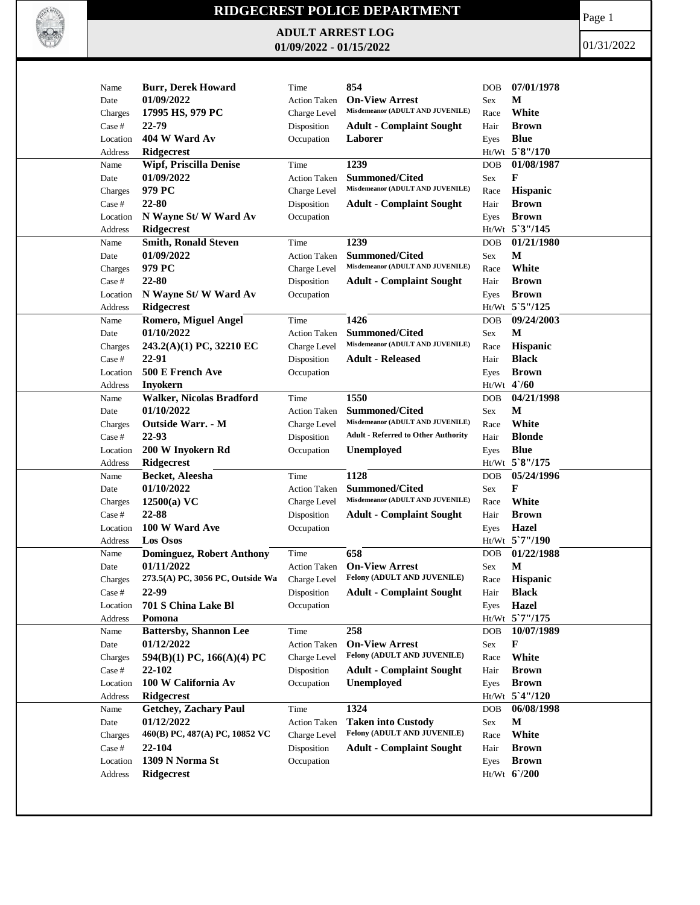

## **RIDGECREST POLICE DEPARTMENT**

**ADULT ARREST LOG 01/09/2022 - 01/15/2022**

Page 1

01/31/2022

| Name     | <b>Burr, Derek Howard</b>        | Time                | 854                                                      | DOB        | 07/01/1978      |
|----------|----------------------------------|---------------------|----------------------------------------------------------|------------|-----------------|
| Date     | 01/09/2022                       | <b>Action Taken</b> | <b>On-View Arrest</b>                                    | Sex        | М               |
| Charges  | 17995 HS, 979 PC                 | Charge Level        | Misdemeanor (ADULT AND JUVENILE)                         | Race       | White           |
| Case #   | 22-79                            | Disposition         | <b>Adult - Complaint Sought</b>                          | Hair       | <b>Brown</b>    |
| Location | 404 W Ward Av                    | Occupation          | Laborer                                                  | Eyes       | <b>Blue</b>     |
| Address  | Ridgecrest                       |                     |                                                          |            | Ht/Wt 5`8"/170  |
| Name     | <b>Wipf, Priscilla Denise</b>    | Time                | 1239                                                     | <b>DOB</b> | 01/08/1987      |
| Date     | 01/09/2022                       | <b>Action Taken</b> | <b>Summoned/Cited</b>                                    | Sex        | F               |
| Charges  | 979 PC                           | Charge Level        | Misdemeanor (ADULT AND JUVENILE)                         | Race       | <b>Hispanic</b> |
| Case #   | 22-80                            | Disposition         | <b>Adult - Complaint Sought</b>                          | Hair       | <b>Brown</b>    |
| Location | N Wayne St/W Ward Av             | Occupation          |                                                          | Eyes       | <b>Brown</b>    |
| Address  | <b>Ridgecrest</b>                |                     |                                                          |            | Ht/Wt 5'3"/145  |
| Name     | <b>Smith, Ronald Steven</b>      | Time                | 1239                                                     | <b>DOB</b> | 01/21/1980      |
| Date     | 01/09/2022                       | <b>Action Taken</b> | <b>Summoned/Cited</b>                                    | Sex        | M               |
| Charges  | 979 PC                           | Charge Level        | Misdemeanor (ADULT AND JUVENILE)                         | Race       | White           |
| Case #   | 22-80                            | Disposition         | <b>Adult - Complaint Sought</b>                          | Hair       | <b>Brown</b>    |
| Location | N Wayne St/W Ward Av             | Occupation          |                                                          | Eyes       | <b>Brown</b>    |
| Address  | <b>Ridgecrest</b>                |                     |                                                          |            | Ht/Wt 5`5"/125  |
| Name     | <b>Romero, Miguel Angel</b>      | Time                | 1426                                                     | <b>DOB</b> | 09/24/2003      |
| Date     | 01/10/2022                       | <b>Action Taken</b> | <b>Summoned/Cited</b>                                    | Sex        | M               |
| Charges  | 243.2(A)(1) PC, 32210 EC         | Charge Level        | Misdemeanor (ADULT AND JUVENILE)                         | Race       | Hispanic        |
| Case #   | 22-91                            | Disposition         | <b>Adult - Released</b>                                  | Hair       | <b>Black</b>    |
| Location | 500 E French Ave                 | Occupation          |                                                          | Eyes       | <b>Brown</b>    |
| Address  | <b>Inyokern</b>                  |                     |                                                          |            | Ht/Wt 4'/60     |
| Name     | <b>Walker, Nicolas Bradford</b>  | Time                | 1550                                                     | <b>DOB</b> | 04/21/1998      |
| Date     | 01/10/2022                       | Action Taken        | <b>Summoned/Cited</b>                                    | Sex        | М               |
| Charges  | Outside Warr. - M                | Charge Level        | Misdemeanor (ADULT AND JUVENILE)                         | Race       | White           |
| Case #   | 22-93                            | Disposition         | <b>Adult - Referred to Other Authority</b>               | Hair       | <b>Blonde</b>   |
| Location | 200 W Inyokern Rd                | Occupation          | <b>Unemployed</b>                                        | Eyes       | <b>Blue</b>     |
| Address  | <b>Ridgecrest</b>                |                     |                                                          |            | Ht/Wt 5`8"/175  |
| Name     | Becket, Aleesha                  | Time                | 1128                                                     | DOB        | 05/24/1996      |
| Date     | 01/10/2022                       | <b>Action Taken</b> | <b>Summoned/Cited</b>                                    | Sex        | F               |
| Charges  | 12500(a) VC                      | Charge Level        | Misdemeanor (ADULT AND JUVENILE)                         | Race       | White           |
| Case #   | 22-88                            | Disposition         | <b>Adult - Complaint Sought</b>                          | Hair       | <b>Brown</b>    |
| Location | 100 W Ward Ave                   | Occupation          |                                                          | Eyes       | Hazel           |
| Address  | <b>Los Osos</b>                  |                     |                                                          |            | Ht/Wt 5`7"/190  |
| Name     | <b>Dominguez, Robert Anthony</b> | Time                | 658                                                      | <b>DOB</b> | 01/22/1988      |
| Date     | 01/11/2022                       | <b>Action Taken</b> | <b>On-View Arrest</b>                                    | Sex        | M               |
| Charges  | 273.5(A) PC, 3056 PC, Outside Wa | Charge Level        | <b>Felony (ADULT AND JUVENILE)</b>                       | Race       | <b>Hispanic</b> |
| Case #   | 22-99                            | Disposition         | <b>Adult - Complaint Sought</b>                          | Hair       | <b>Black</b>    |
| Location | 701 S China Lake Bl              | Occupation          |                                                          | Eyes       | <b>Hazel</b>    |
| Address  | Pomona                           |                     |                                                          |            | Ht/Wt 5`7"/175  |
| Name     | <b>Battersby, Shannon Lee</b>    | Time                | 258                                                      | DOB        | 10/07/1989      |
| Date     | 01/12/2022                       | Action Taken        | <b>On-View Arrest</b>                                    | Sex        | F               |
| Charges  | 594(B)(1) PC, 166(A)(4) PC       | Charge Level        | Felony (ADULT AND JUVENILE)                              | Race       | White           |
| Case #   | 22-102                           | Disposition         | <b>Adult - Complaint Sought</b>                          | Hair       | <b>Brown</b>    |
| Location | 100 W California Av              | Occupation          | <b>Unemployed</b>                                        | Eyes       | <b>Brown</b>    |
| Address  | Ridgecrest                       |                     |                                                          |            | Ht/Wt 5'4"/120  |
| Name     | <b>Getchey, Zachary Paul</b>     | Time                | 1324                                                     | <b>DOB</b> | 06/08/1998      |
|          | 01/12/2022                       |                     |                                                          |            | M               |
| Date     | 460(B) PC, 487(A) PC, 10852 VC   | Action Taken        | <b>Taken into Custody</b><br>Felony (ADULT AND JUVENILE) | Sex        | White           |
| Charges  |                                  | Charge Level        |                                                          | Race       |                 |
| Case #   | 22-104                           | Disposition         | <b>Adult - Complaint Sought</b>                          | Hair       | <b>Brown</b>    |
| Location | 1309 N Norma St                  | Occupation          |                                                          | Eyes       | <b>Brown</b>    |
| Address  | Ridgecrest                       |                     |                                                          |            | $Ht/Wt$ 6/200   |
|          |                                  |                     |                                                          |            |                 |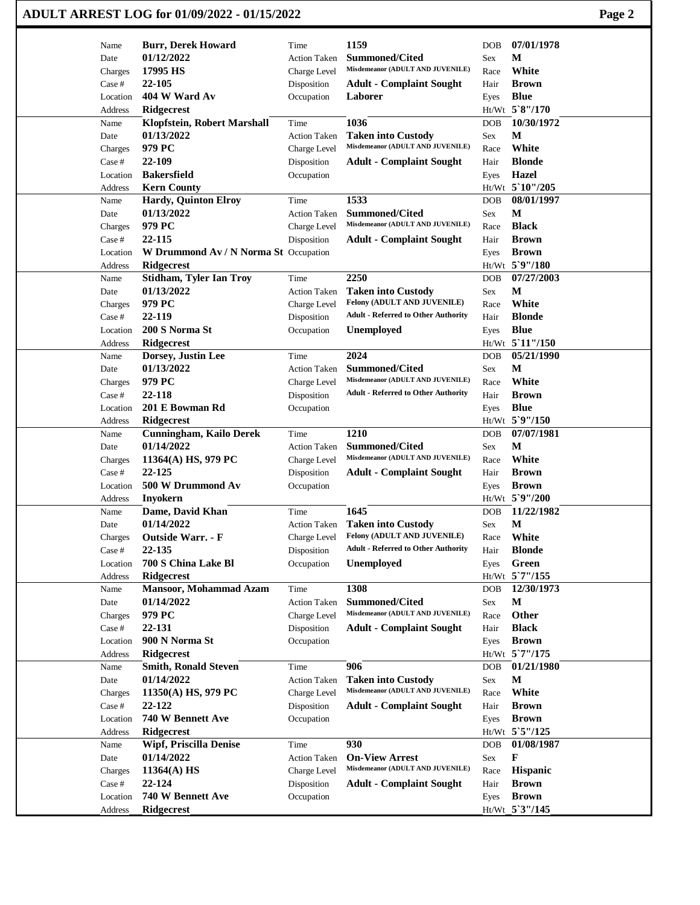|          | <b>ADULT ARREST LOG for 01/09/2022 - 01/15/2022</b> |                     |                                            |            |                 | Page 2 |
|----------|-----------------------------------------------------|---------------------|--------------------------------------------|------------|-----------------|--------|
| Name     | <b>Burr, Derek Howard</b>                           | Time                | 1159                                       | DOB        | 07/01/1978      |        |
| Date     | 01/12/2022                                          | <b>Action Taken</b> | <b>Summoned/Cited</b>                      | Sex        | М               |        |
| Charges  | 17995 HS                                            | Charge Level        | Misdemeanor (ADULT AND JUVENILE)           | Race       | White           |        |
| Case #   | 22-105                                              | Disposition         | <b>Adult - Complaint Sought</b>            | Hair       | <b>Brown</b>    |        |
| Location | 404 W Ward Av                                       | Occupation          | Laborer                                    | Eyes       | <b>Blue</b>     |        |
| Address  | <b>Ridgecrest</b>                                   |                     |                                            |            | Ht/Wt 5`8"/170  |        |
| Name     | Klopfstein, Robert Marshall                         | Time                | 1036                                       | DOB        | 10/30/1972      |        |
| Date     | 01/13/2022                                          | <b>Action Taken</b> | <b>Taken into Custody</b>                  | Sex        | М               |        |
| Charges  | 979 PC                                              | Charge Level        | Misdemeanor (ADULT AND JUVENILE)           | Race       | White           |        |
| Case #   | 22-109                                              | Disposition         | <b>Adult - Complaint Sought</b>            | Hair       | <b>Blonde</b>   |        |
| Location | <b>Bakersfield</b>                                  | Occupation          |                                            | Eyes       | <b>Hazel</b>    |        |
| Address  | <b>Kern County</b>                                  |                     |                                            |            | Ht/Wt 5`10"/205 |        |
| Name     | <b>Hardy, Quinton Elroy</b>                         | Time                | 1533                                       | <b>DOB</b> | 08/01/1997      |        |
| Date     | 01/13/2022                                          | <b>Action Taken</b> | <b>Summoned/Cited</b>                      | Sex        | М               |        |
| Charges  | 979 PC                                              | Charge Level        | Misdemeanor (ADULT AND JUVENILE)           | Race       | <b>Black</b>    |        |
| Case #   | 22-115                                              | Disposition         | <b>Adult - Complaint Sought</b>            | Hair       | <b>Brown</b>    |        |
| Location | W Drummond Av / N Norma St Occupation               |                     |                                            | Eyes       | <b>Brown</b>    |        |
| Address  | <b>Ridgecrest</b>                                   |                     |                                            |            | Ht/Wt 5`9"/180  |        |
| Name     | <b>Stidham, Tyler Ian Troy</b>                      | Time                | 2250                                       | DOB        | 07/27/2003      |        |
| Date     | 01/13/2022                                          | <b>Action Taken</b> | <b>Taken into Custody</b>                  | Sex        | M               |        |
| Charges  | 979 PC                                              | Charge Level        | Felony (ADULT AND JUVENILE)                | Race       | White           |        |
| Case #   | 22-119                                              | Disposition         | <b>Adult - Referred to Other Authority</b> | Hair       | <b>Blonde</b>   |        |
| Location | 200 S Norma St                                      | Occupation          | <b>Unemployed</b>                          | Eyes       | <b>Blue</b>     |        |
| Address  | <b>Ridgecrest</b>                                   |                     |                                            |            | Ht/Wt 5'11"/150 |        |
| Name     | Dorsey, Justin Lee                                  | Time                | 2024                                       | DOB        | 05/21/1990      |        |
| Date     | 01/13/2022                                          | <b>Action Taken</b> | <b>Summoned/Cited</b>                      | Sex        | М               |        |
| Charges  | 979 PC                                              | Charge Level        | Misdemeanor (ADULT AND JUVENILE)           | Race       | White           |        |
| Case #   | 22-118                                              | Disposition         | <b>Adult - Referred to Other Authority</b> | Hair       | <b>Brown</b>    |        |
| Location | 201 E Bowman Rd                                     | Occupation          |                                            | Eyes       | <b>Blue</b>     |        |
| Address  | <b>Ridgecrest</b>                                   |                     |                                            |            | Ht/Wt 5`9"/150  |        |
| Name     | <b>Cunningham, Kailo Derek</b>                      | Time                | 1210                                       | <b>DOB</b> | 07/07/1981      |        |
| Date     | 01/14/2022                                          | <b>Action Taken</b> | <b>Summoned/Cited</b>                      | Sex        | М               |        |
| Charges  | 11364(A) HS, 979 PC                                 | Charge Level        | Misdemeanor (ADULT AND JUVENILE)           | Race       | White           |        |
| Case #   | 22-125                                              | Disposition         | <b>Adult - Complaint Sought</b>            | Hair       | <b>Brown</b>    |        |
| Location | 500 W Drummond Av                                   | Occupation          |                                            | Eyes       | <b>Brown</b>    |        |
| Address  | Inyokern                                            |                     |                                            |            | Ht/Wt 5`9"/200  |        |
| Name     | Dame, David Khan                                    | Time                | 1645                                       | DOB        | 11/22/1982      |        |
| Date     | 01/14/2022                                          | <b>Action Taken</b> | <b>Taken into Custody</b>                  | Sex        | $\mathbf{M}$    |        |
| Charges  | Outside Warr. - F                                   | Charge Level        | Felony (ADULT AND JUVENILE)                | Race       | White           |        |
| Case #   | 22-135                                              | Disposition         | <b>Adult - Referred to Other Authority</b> | Hair       | <b>Blonde</b>   |        |
| Location | 700 S China Lake Bl                                 | Occupation          | <b>Unemployed</b>                          | Eyes       | Green           |        |
| Address  | <b>Ridgecrest</b>                                   |                     |                                            |            | Ht/Wt 5`7"/155  |        |
| Name     | Mansoor, Mohammad Azam                              | Time                | 1308                                       | DOB        | 12/30/1973      |        |
| Date     | 01/14/2022                                          | <b>Action Taken</b> | <b>Summoned/Cited</b>                      | Sex        | $\mathbf{M}$    |        |
| Charges  | 979 PC                                              | Charge Level        | Misdemeanor (ADULT AND JUVENILE)           | Race       | Other           |        |
| Case #   | 22-131                                              | Disposition         | <b>Adult - Complaint Sought</b>            | Hair       | <b>Black</b>    |        |
| Location | 900 N Norma St                                      | Occupation          |                                            | Eyes       | <b>Brown</b>    |        |
| Address  | <b>Ridgecrest</b>                                   |                     |                                            |            | Ht/Wt 5`7"/175  |        |
| Name     | <b>Smith, Ronald Steven</b>                         | Time                | 906                                        | <b>DOB</b> | 01/21/1980      |        |
| Date     | 01/14/2022                                          | <b>Action Taken</b> | <b>Taken into Custody</b>                  | Sex        | M               |        |
| Charges  | 11350(A) HS, 979 PC                                 | Charge Level        | Misdemeanor (ADULT AND JUVENILE)           | Race       | White           |        |
| Case #   | 22-122                                              | Disposition         | <b>Adult - Complaint Sought</b>            | Hair       | <b>Brown</b>    |        |
| Location | 740 W Bennett Ave                                   | Occupation          |                                            | Eyes       | <b>Brown</b>    |        |
| Address  | <b>Ridgecrest</b>                                   |                     |                                            |            | Ht/Wt 5`5"/125  |        |
| Name     | <b>Wipf, Priscilla Denise</b>                       | Time                | 930                                        | DOB        | 01/08/1987      |        |
| Date     | 01/14/2022                                          | <b>Action Taken</b> | <b>On-View Arrest</b>                      | Sex        | F               |        |
| Charges  | 11364(A) HS                                         | Charge Level        | Misdemeanor (ADULT AND JUVENILE)           | Race       | Hispanic        |        |
| Case #   | 22-124                                              | Disposition         | <b>Adult - Complaint Sought</b>            | Hair       | <b>Brown</b>    |        |
| Location | 740 W Bennett Ave                                   | Occupation          |                                            | Eyes       | <b>Brown</b>    |        |
| Address  | Ridgecrest                                          |                     |                                            |            | Ht/Wt 5'3"/145  |        |
|          |                                                     |                     |                                            |            |                 |        |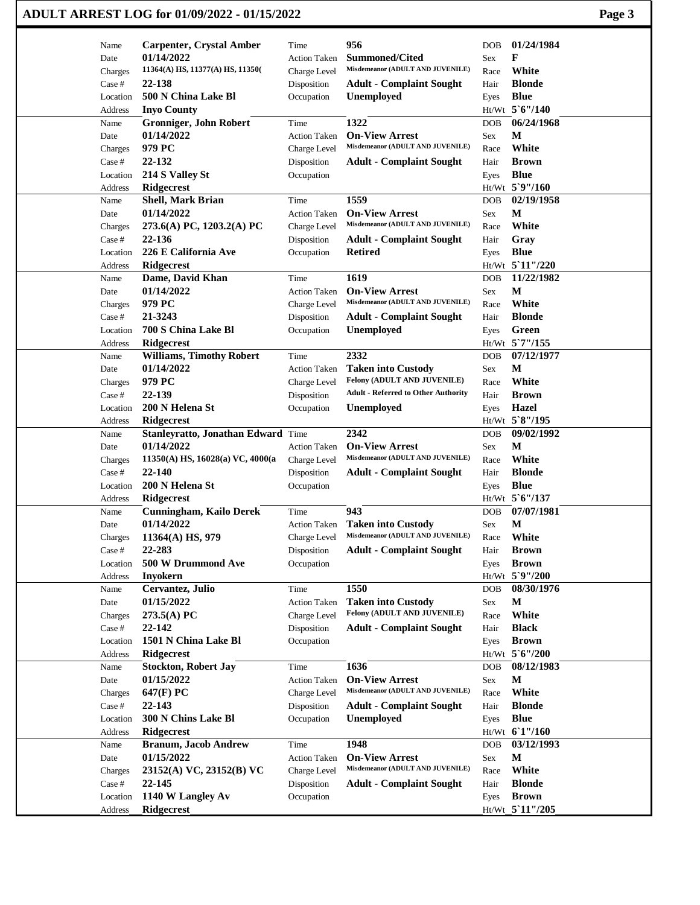| ADULT ARREST LOG for 01/09/2022 - 01/15/2022 | Page 3 |
|----------------------------------------------|--------|
|----------------------------------------------|--------|

| Name              | <b>Carpenter, Crystal Amber</b>                  | Time                      | 956                                                       | DOB        | 01/24/1984                   |
|-------------------|--------------------------------------------------|---------------------------|-----------------------------------------------------------|------------|------------------------------|
| Date              | 01/14/2022                                       | <b>Action Taken</b>       | <b>Summoned/Cited</b>                                     | Sex        | F                            |
| Charges           | 11364(A) HS, 11377(A) HS, 11350(                 | Charge Level              | Misdemeanor (ADULT AND JUVENILE)                          | Race       | White                        |
| Case #            | 22-138                                           | Disposition               | <b>Adult - Complaint Sought</b>                           | Hair       | <b>Blonde</b>                |
| Location          | 500 N China Lake Bl                              | Occupation                | <b>Unemployed</b>                                         | Eyes       | <b>Blue</b>                  |
| Address           | <b>Inyo County</b>                               |                           |                                                           |            | $Ht/Wt$ 5 6"/140             |
| Name              | Gronniger, John Robert                           | Time                      | 1322                                                      | DOB        | 06/24/1968                   |
| Date              | 01/14/2022                                       | <b>Action Taken</b>       | <b>On-View Arrest</b>                                     | Sex        | М                            |
| Charges           | 979 PC                                           | Charge Level              | Misdemeanor (ADULT AND JUVENILE)                          | Race       | White                        |
| Case #            | 22-132                                           | Disposition               | <b>Adult - Complaint Sought</b>                           | Hair       | <b>Brown</b>                 |
| Location          | 214 S Valley St                                  | Occupation                |                                                           | Eyes       | <b>Blue</b>                  |
| Address           | Ridgecrest                                       |                           |                                                           |            | Ht/Wt 5`9"/160               |
| Name              | <b>Shell, Mark Brian</b>                         | Time                      | 1559                                                      | DOB        | 02/19/1958                   |
| Date              | 01/14/2022                                       | <b>Action Taken</b>       | <b>On-View Arrest</b>                                     | Sex        | M                            |
| Charges           | 273.6(A) PC, 1203.2(A) PC                        | Charge Level              | Misdemeanor (ADULT AND JUVENILE)                          | Race       | White                        |
| Case #            | 22-136                                           | Disposition               | <b>Adult - Complaint Sought</b>                           | Hair       | Gray                         |
| Location          | 226 E California Ave                             | Occupation                | <b>Retired</b>                                            | Eyes       | <b>Blue</b>                  |
| Address           | <b>Ridgecrest</b>                                |                           |                                                           |            | Ht/Wt 5'11"/220              |
| Name              | Dame, David Khan                                 | Time                      | 1619                                                      | <b>DOB</b> | 11/22/1982                   |
| Date              | 01/14/2022                                       | <b>Action Taken</b>       | <b>On-View Arrest</b>                                     | Sex        | $\mathbf{M}$                 |
| Charges           | 979 PC                                           | Charge Level              | Misdemeanor (ADULT AND JUVENILE)                          | Race       | White                        |
| Case #            | 21-3243                                          | Disposition               | <b>Adult - Complaint Sought</b>                           | Hair       | <b>Blonde</b>                |
| Location          | 700 S China Lake Bl                              | Occupation                | <b>Unemployed</b>                                         | Eyes       | Green                        |
| Address           | <b>Ridgecrest</b>                                |                           |                                                           |            | Ht/Wt 5`7"/155               |
| Name              | <b>Williams, Timothy Robert</b>                  | Time                      | 2332                                                      | <b>DOB</b> | 07/12/1977                   |
| Date              | 01/14/2022                                       | Action Taken              | <b>Taken into Custody</b>                                 | Sex        | М                            |
| Charges           | 979 PC                                           | Charge Level              | Felony (ADULT AND JUVENILE)                               | Race       | White                        |
| Case #            | 22-139                                           | Disposition               | <b>Adult - Referred to Other Authority</b>                | Hair       | <b>Brown</b>                 |
| Location          | 200 N Helena St                                  | Occupation                | Unemployed                                                | Eyes       | Hazel                        |
| Address           | <b>Ridgecrest</b>                                |                           |                                                           |            | Ht/Wt 5`8"/195               |
| Name              | Stanleyratto, Jonathan Edward Time               |                           | 2342                                                      | DOB        | 09/02/1992                   |
| Date              | 01/14/2022                                       | <b>Action Taken</b>       | <b>On-View Arrest</b>                                     | Sex        | M                            |
| Charges           | $11350(A)$ HS, $16028(a)$ VC, $4000(a)$          | Charge Level              | Misdemeanor (ADULT AND JUVENILE)                          | Race       | White                        |
| Case #            | 22-140                                           | Disposition               | <b>Adult - Complaint Sought</b>                           | Hair       | <b>Blonde</b>                |
| Location          | 200 N Helena St                                  | Occupation                |                                                           | Eyes       | <b>Blue</b>                  |
| Address           | <b>Ridgecrest</b>                                |                           |                                                           |            | Ht/Wt 5'6"/137               |
| Name              | <b>Cunningham, Kailo Derek</b>                   | Time                      | 943                                                       | <b>DOB</b> | 07/07/1981                   |
| Date              | 01/14/2022                                       | <b>Action Taken</b>       | <b>Taken into Custody</b>                                 | Sex        | M                            |
| Charges           | $11364(A)$ HS, 979                               | Charge Level              | Misdemeanor (ADULT AND JUVENILE)                          | Race       | White                        |
| Case #            | 22-283                                           | Disposition               | <b>Adult - Complaint Sought</b>                           | Hair       | <b>Brown</b>                 |
| Location          | 500 W Drummond Ave                               | Occupation                |                                                           | Eyes       | <b>Brown</b>                 |
| Address           | <b>Inyokern</b>                                  |                           |                                                           |            | Ht/Wt 5`9"/200               |
| Name              | Cervantez, Julio                                 | Time                      | 1550                                                      | DOB        | 08/30/1976                   |
| Date              | 01/15/2022                                       | Action Taken              | <b>Taken into Custody</b>                                 | Sex        | M                            |
| Charges           | 273.5(A) PC                                      | Charge Level              | Felony (ADULT AND JUVENILE)                               | Race       | White                        |
| Case #            | 22-142                                           | Disposition               | <b>Adult - Complaint Sought</b>                           | Hair       | <b>Black</b>                 |
| Location          | 1501 N China Lake Bl                             | Occupation                |                                                           | Eyes       | <b>Brown</b>                 |
| Address           | <b>Ridgecrest</b>                                |                           |                                                           |            | Ht/Wt 5'6"/200               |
| Name              | <b>Stockton, Robert Jay</b>                      | Time                      | 1636                                                      | DOB        | 08/12/1983                   |
| Date              | 01/15/2022                                       | <b>Action Taken</b>       | <b>On-View Arrest</b><br>Misdemeanor (ADULT AND JUVENILE) | Sex        | $\mathbf M$                  |
| Charges           | 647(F) PC                                        | Charge Level              |                                                           | Race       | White                        |
| Case #            | 22-143<br>300 N Chins Lake Bl                    | Disposition<br>Occupation | <b>Adult - Complaint Sought</b><br>Unemployed             | Hair       | <b>Blonde</b><br><b>Blue</b> |
| Location          |                                                  |                           |                                                           | Eyes       |                              |
| Address<br>Name   | <b>Ridgecrest</b><br><b>Branum, Jacob Andrew</b> | Time                      | 1948                                                      | DOB        | Ht/Wt 6'1"/160<br>03/12/1993 |
| Date              | 01/15/2022                                       | Action Taken              | <b>On-View Arrest</b>                                     | Sex        | $\mathbf M$                  |
|                   | 23152(A) VC, 23152(B) VC                         | Charge Level              | Misdemeanor (ADULT AND JUVENILE)                          | Race       | White                        |
| Charges<br>Case # | 22-145                                           | Disposition               | <b>Adult - Complaint Sought</b>                           | Hair       | <b>Blonde</b>                |
| Location          | 1140 W Langley Av                                | Occupation                |                                                           | Eyes       | <b>Brown</b>                 |
| Address           | Ridgecrest                                       |                           |                                                           |            | Ht/Wt_5`11"/205              |
|                   |                                                  |                           |                                                           |            |                              |